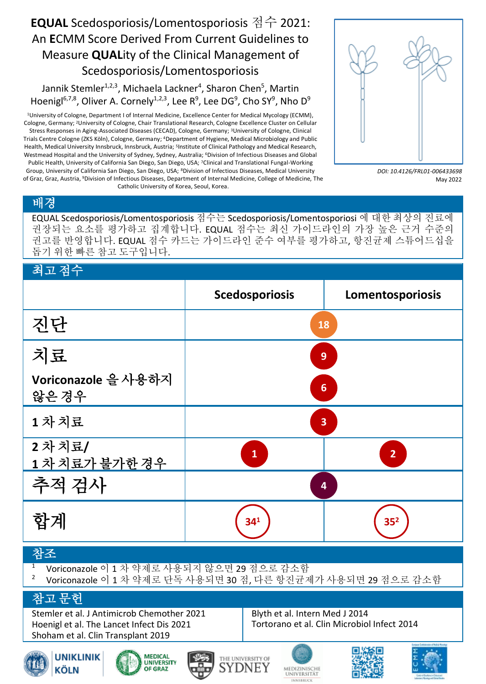## **EQUAL** Scedosporiosis/Lomentosporiosis 점수 2021: An **E**CMM Score Derived From Current Guidelines to Measure **QUAL**ity of the Clinical Management of Scedosporiosis/Lomentosporiosis

Jannik Stemler<sup>1,2,3</sup>, Michaela Lackner<sup>4</sup>, Sharon Chen<sup>5</sup>, Martin Hoenigl<sup>6,7,8</sup>, Oliver A. Cornely<sup>1,2,3</sup>, Lee R<sup>9</sup>, Lee DG<sup>9</sup>, Cho SY<sup>9</sup>, Nho D<sup>9</sup>

<sup>1</sup>University of Cologne, Department I of Internal Medicine, Excellence Center for Medical Mycology (ECMM), Cologne, Germany; 2University of Cologne, Chair Translational Research, Cologne Excellence Cluster on Cellular Stress Responses in Aging-Associated Diseases (CECAD), Cologne, Germany; <sup>3</sup>University of Cologne, Clinical Trials Centre Cologne (ZKS Köln), Cologne, Germany; 4Department of Hygiene, Medical Microbiology and Public Health, Medical University Innsbruck, Innsbruck, Austria; 5Institute of Clinical Pathology and Medical Research, Westmead Hospital and the University of Sydney, Sydney, Australia; 6Division of Infectious Diseases and Global

Public Health, University of California San Diego, San Diego, USA; <sup>7</sup>Clinical and Translational Fungal-Working Group, University of California San Diego, San Diego, USA; 8Division of Infectious Diseases, Medical University of Graz, Graz, Austria, 9Division of Infectious Diseases, Department of Internal Medicine, College of Medicine, The Catholic University of Korea, Seoul, Korea.



*DOI: 10.4126/FRL01-006433698* May 2022

## 배경

EQUAL Scedosporiosis/Lomentosporiosis 점수는 Scedosporiosis/Lomentosporiosi 에 대한 최상의 진료에 권장되는 요소를 평가하고 집계합니다. EQUAL 점수는 최신 가이드라인의 가장 높은 근거 수준의 권고를 반영합니다. EQUAL 점수 카드는 가이드라인 준수 여부를 평가하고, 항진균제 스튜어드십을 돕기 위한 빠른 참고 도구입니다.

## 최고 점수 **Scedosporiosis Lomentosporiosis** 진단 치료 **Voriconazole** 을 사용하지 않은 경우 **1** 차 치료 **2** 차 치료**/ 1** 차 치료가 불가한 경우 추적 검사 합계 참조 **18 9 6 3 1 2 4 34 <sup>1</sup> 35<sup>2</sup>**

- <sup>1</sup> Voriconazole 이 1 차 약제로 사용되지 않으면 29 점으로 감소함
- <sup>2</sup> Voriconazole 이 1 차 약제로 단독 사용되면 30 점, 다른 항진균제가 사용되면 29 점으로 감소함

## 참고 문헌

Stemler et al. J Antimicrob Chemother 2021 Hoenigl et al. The Lancet Infect Dis 2021 Shoham et al. Clin Transplant 2019

Blyth et al. Intern Med J 2014 Tortorano et al. Clin Microbiol Infect 2014